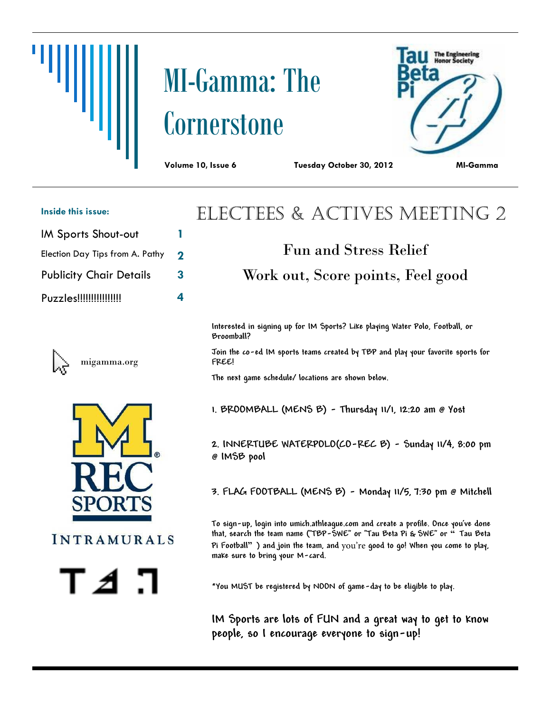# MI-Gamma: The **Cornerstone**



**Volume 10, Issue 6 Tuesday October 30, 2012 MI-Gamma**

#### **Inside this issue:**

- IM Sports Shout-out **1**
- Election Day Tips from A. Pathy **2**
- Publicity Chair Details **3**
- Puzzles!!!!!!!!!!!!!!!! **4**



migamma.org





## Electees & Actives Meeting 2

## Fun and Stress Relief Work out, Score points, Feel good

**Interested in signing up for IM Sports? Like playing Water Polo, Football, or Broomball?**

**Join the co-ed IM sports teams created by TBP and play your favorite sports for FREE!**

**The next game schedule/ locations are shown below.**

**1. BROOMBALL (MENS B) - Thursday 11/1, 12:20 am @ Yost**

**2. INNERTUBE WATERPOLO(CO-REC B) - Sunday 11/4, 8:00 pm @ IMSB pool**

**3. FLAG FOOTBALL (MENS B) - Monday 11/5, 7:30 pm @ Mitchell**

**To sign-up, login into umich.athleague.com and create a profile. Once you've done that, search the team name ("TBP-SWE" or "Tau Beta Pi & SWE" or " Tau Beta**  Pi Football" ) and join the team, and you're good to go! When you come to play, **make sure to bring your M-card.**

**\*You MUST be registered by NOON of game-day to be eligible to play.**

**IM Sports are lots of FUN and a great way to get to know people, so I encourage everyone to sign-up!**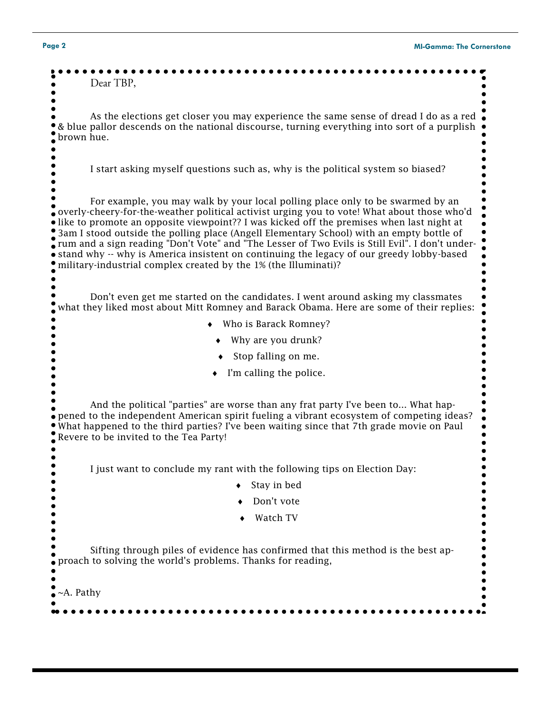| Page 2           | <b>MI-Gamma: The Cornerstone</b>                                                                                                                                                                                                                                                                                                                                                                                                                                                                                                                                                                                                              |
|------------------|-----------------------------------------------------------------------------------------------------------------------------------------------------------------------------------------------------------------------------------------------------------------------------------------------------------------------------------------------------------------------------------------------------------------------------------------------------------------------------------------------------------------------------------------------------------------------------------------------------------------------------------------------|
|                  | Dear TBP,                                                                                                                                                                                                                                                                                                                                                                                                                                                                                                                                                                                                                                     |
| brown hue.       | As the elections get closer you may experience the same sense of dread I do as a red<br>& blue pallor descends on the national discourse, turning everything into sort of a purplish                                                                                                                                                                                                                                                                                                                                                                                                                                                          |
|                  | I start asking myself questions such as, why is the political system so biased?                                                                                                                                                                                                                                                                                                                                                                                                                                                                                                                                                               |
|                  | For example, you may walk by your local polling place only to be swarmed by an<br>overly-cheery-for-the-weather political activist urging you to vote! What about those who'd (<br>• like to promote an opposite viewpoint?? I was kicked off the premises when last night at<br>3am I stood outside the polling place (Angell Elementary School) with an empty bottle of<br>rum and a sign reading "Don't Vote" and "The Lesser of Two Evils is Still Evil". I don't under-<br>• stand why -- why is America insistent on continuing the legacy of our greedy lobby-based<br>military-industrial complex created by the 1% (the Illuminati)? |
|                  |                                                                                                                                                                                                                                                                                                                                                                                                                                                                                                                                                                                                                                               |
|                  | Don't even get me started on the candidates. I went around asking my classmates<br>what they liked most about Mitt Romney and Barack Obama. Here are some of their replies:                                                                                                                                                                                                                                                                                                                                                                                                                                                                   |
|                  | Who is Barack Romney?                                                                                                                                                                                                                                                                                                                                                                                                                                                                                                                                                                                                                         |
|                  | Why are you drunk?                                                                                                                                                                                                                                                                                                                                                                                                                                                                                                                                                                                                                            |
|                  | Stop falling on me.                                                                                                                                                                                                                                                                                                                                                                                                                                                                                                                                                                                                                           |
|                  | I'm calling the police.                                                                                                                                                                                                                                                                                                                                                                                                                                                                                                                                                                                                                       |
|                  | And the political "parties" are worse than any frat party I've been to What hap-<br>• pened to the independent American spirit fueling a vibrant ecosystem of competing ideas?<br>What happened to the third parties? I've been waiting since that 7th grade movie on Paul<br>Revere to be invited to the Tea Party!                                                                                                                                                                                                                                                                                                                          |
|                  | I just want to conclude my rant with the following tips on Election Day:                                                                                                                                                                                                                                                                                                                                                                                                                                                                                                                                                                      |
|                  | Stay in bed                                                                                                                                                                                                                                                                                                                                                                                                                                                                                                                                                                                                                                   |
|                  | Don't vote                                                                                                                                                                                                                                                                                                                                                                                                                                                                                                                                                                                                                                    |
|                  | Watch TV                                                                                                                                                                                                                                                                                                                                                                                                                                                                                                                                                                                                                                      |
|                  | Sifting through piles of evidence has confirmed that this method is the best ap-<br>proach to solving the world's problems. Thanks for reading,                                                                                                                                                                                                                                                                                                                                                                                                                                                                                               |
| $~\sim$ A. Pathy |                                                                                                                                                                                                                                                                                                                                                                                                                                                                                                                                                                                                                                               |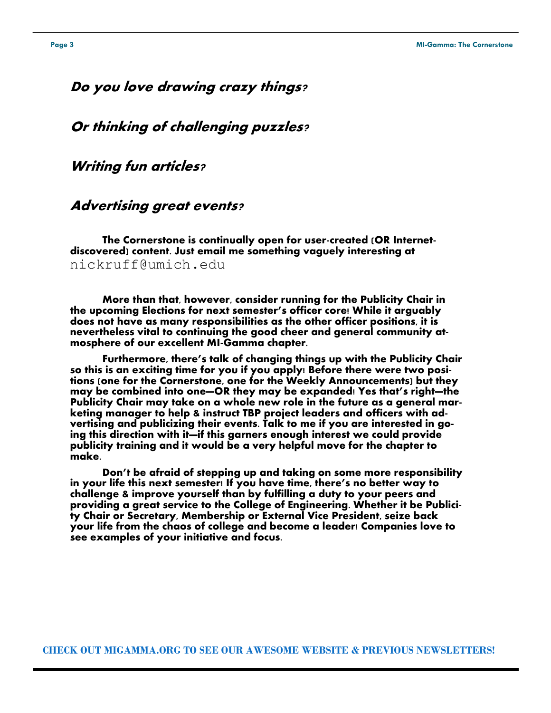#### **Do you love drawing crazy things?**

**Or thinking of challenging puzzles?**

**Writing fun articles?**

#### **Advertising great events?**

**The Cornerstone is continually open for user-created (OR Internetdiscovered) content. Just email me something vaguely interesting at**  nickruff@umich.edu

**More than that, however, consider running for the Publicity Chair in the upcoming Elections for next semester's officer core! While it arguably does not have as many responsibilities as the other officer positions, it is nevertheless vital to continuing the good cheer and general community atmosphere of our excellent MI-Gamma chapter.**

**Furthermore, there's talk of changing things up with the Publicity Chair so this is an exciting time for you if you apply! Before there were two positions (one for the Cornerstone, one for the Weekly Announcements) but they may be combined into one—OR they may be expanded! Yes that's right—the Publicity Chair may take on a whole new role in the future as a general marketing manager to help & instruct TBP project leaders and officers with advertising and publicizing their events. Talk to me if you are interested in going this direction with it—if this garners enough interest we could provide publicity training and it would be a very helpful move for the chapter to make.**

**Don't be afraid of stepping up and taking on some more responsibility in your life this next semester! If you have time, there's no better way to challenge & improve yourself than by fulfilling a duty to your peers and providing a great service to the College of Engineering. Whether it be Publicity Chair or Secretary, Membership or External Vice President, seize back your life from the chaos of college and become a leader! Companies love to see examples of your initiative and focus.**